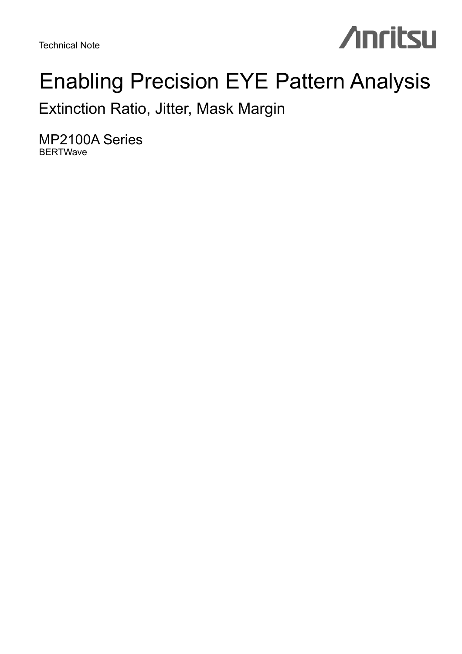Technical Note



# Enabling Precision EYE Pattern Analysis

Extinction Ratio, Jitter, Mask Margin

MP2100A Series **BERTWave**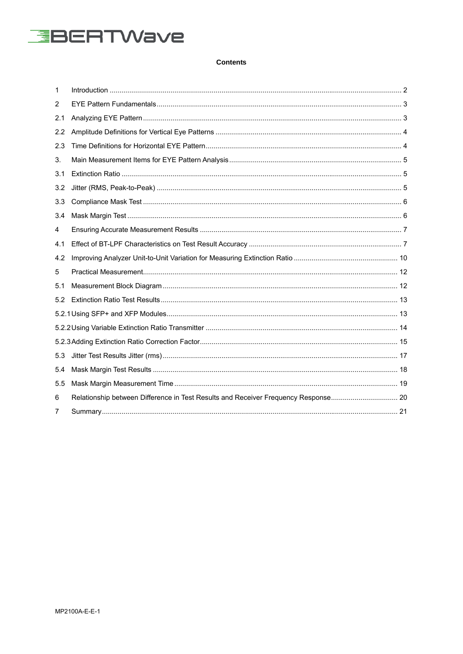

### **Contents**

| 1   |                                                                                    |  |
|-----|------------------------------------------------------------------------------------|--|
| 2   |                                                                                    |  |
| 2.1 |                                                                                    |  |
| 2.2 |                                                                                    |  |
| 2.3 |                                                                                    |  |
| 3.  |                                                                                    |  |
| 3.1 |                                                                                    |  |
| 3.2 |                                                                                    |  |
| 3.3 |                                                                                    |  |
| 3.4 |                                                                                    |  |
| 4   |                                                                                    |  |
| 4.1 |                                                                                    |  |
| 4.2 |                                                                                    |  |
| 5   |                                                                                    |  |
| 5.1 |                                                                                    |  |
| 5.2 |                                                                                    |  |
|     |                                                                                    |  |
|     |                                                                                    |  |
|     |                                                                                    |  |
| 5.3 |                                                                                    |  |
| 5.4 |                                                                                    |  |
| 5.5 |                                                                                    |  |
|     |                                                                                    |  |
| 6   | Relationship between Difference in Test Results and Receiver Frequency Response 20 |  |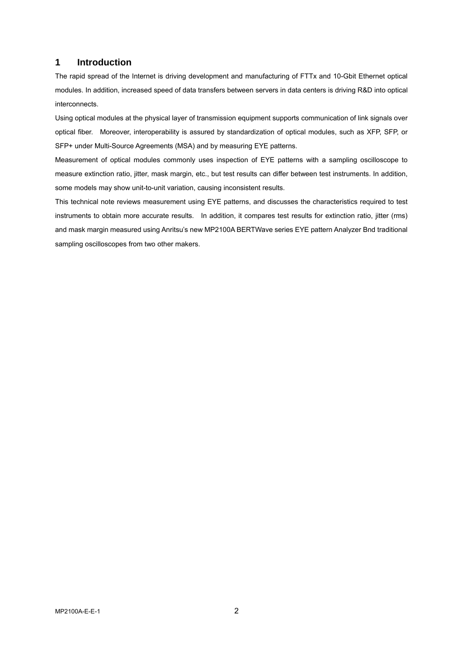### **1 Introduction**

The rapid spread of the Internet is driving development and manufacturing of FTTx and 10-Gbit Ethernet optical modules. In addition, increased speed of data transfers between servers in data centers is driving R&D into optical interconnects.

Using optical modules at the physical layer of transmission equipment supports communication of link signals over optical fiber. Moreover, interoperability is assured by standardization of optical modules, such as XFP, SFP, or SFP+ under Multi-Source Agreements (MSA) and by measuring EYE patterns.

Measurement of optical modules commonly uses inspection of EYE patterns with a sampling oscilloscope to measure extinction ratio, jitter, mask margin, etc., but test results can differ between test instruments. In addition, some models may show unit-to-unit variation, causing inconsistent results.

This technical note reviews measurement using EYE patterns, and discusses the characteristics required to test instruments to obtain more accurate results. In addition, it compares test results for extinction ratio, jitter (rms) and mask margin measured using Anritsu's new MP2100A BERTWave series EYE pattern Analyzer Bnd traditional sampling oscilloscopes from two other makers.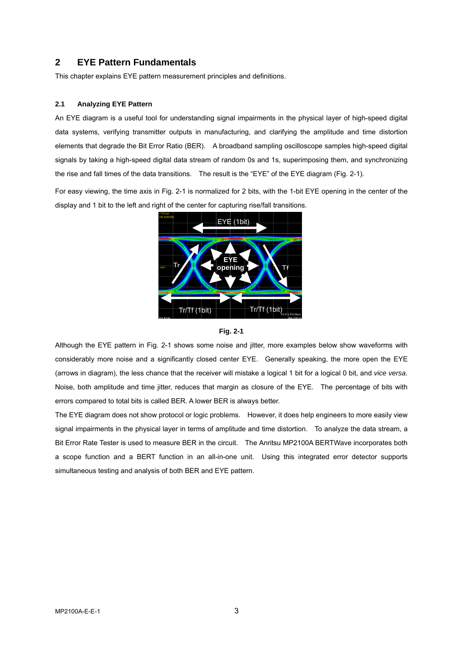### **2 EYE Pattern Fundamentals**

This chapter explains EYE pattern measurement principles and definitions.

### **2.1 Analyzing EYE Pattern**

An EYE diagram is a useful tool for understanding signal impairments in the physical layer of high-speed digital data systems, verifying transmitter outputs in manufacturing, and clarifying the amplitude and time distortion elements that degrade the Bit Error Ratio (BER). A broadband sampling oscilloscope samples high-speed digital signals by taking a high-speed digital data stream of random 0s and 1s, superimposing them, and synchronizing the rise and fall times of the data transitions. The result is the "EYE" of the EYE diagram (Fig. 2-1).

For easy viewing, the time axis in Fig. 2-1 is normalized for 2 bits, with the 1-bit EYE opening in the center of the display and 1 bit to the left and right of the center for capturing rise/fall transitions.





Although the EYE pattern in Fig. 2-1 shows some noise and jitter, more examples below show waveforms with considerably more noise and a significantly closed center EYE. Generally speaking, the more open the EYE (arrows in diagram), the less chance that the receiver will mistake a logical 1 bit for a logical 0 bit, and *vice versa*. Noise, both amplitude and time jitter, reduces that margin as closure of the EYE. The percentage of bits with errors compared to total bits is called BER. A lower BER is always better.

The EYE diagram does not show protocol or logic problems. However, it does help engineers to more easily view signal impairments in the physical layer in terms of amplitude and time distortion. To analyze the data stream, a Bit Error Rate Tester is used to measure BER in the circuit. The Anritsu MP2100A BERTWave incorporates both a scope function and a BERT function in an all-in-one unit. Using this integrated error detector supports simultaneous testing and analysis of both BER and EYE pattern.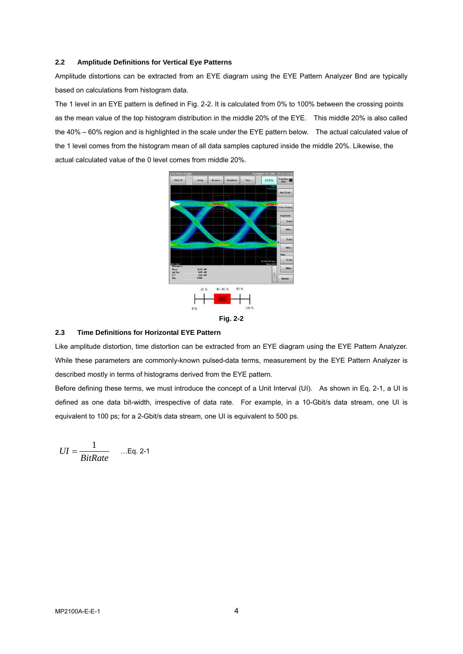### **2.2 Amplitude Definitions for Vertical Eye Patterns**

Amplitude distortions can be extracted from an EYE diagram using the EYE Pattern Analyzer Bnd are typically based on calculations from histogram data.

The 1 level in an EYE pattern is defined in Fig. 2-2. It is calculated from 0% to 100% between the crossing points as the mean value of the top histogram distribution in the middle 20% of the EYE. This middle 20% is also called the 40% – 60% region and is highlighted in the scale under the EYE pattern below. The actual calculated value of the 1 level comes from the histogram mean of all data samples captured inside the middle 20%. Likewise, the actual calculated value of the 0 level comes from middle 20%.



### **2.3 Time Definitions for Horizontal EYE Pattern**

Like amplitude distortion, time distortion can be extracted from an EYE diagram using the EYE Pattern Analyzer. While these parameters are commonly-known pulsed-data terms, measurement by the EYE Pattern Analyzer is described mostly in terms of histograms derived from the EYE pattern.

Before defining these terms, we must introduce the concept of a Unit Interval (UI). As shown in Eq. 2-1, a UI is defined as one data bit-width, irrespective of data rate. For example, in a 10-Gbit/s data stream, one UI is equivalent to 100 ps; for a 2-Gbit/s data stream, one UI is equivalent to 500 ps.

$$
UI = \frac{1}{BitRate}
$$
 ...Eq. 2-1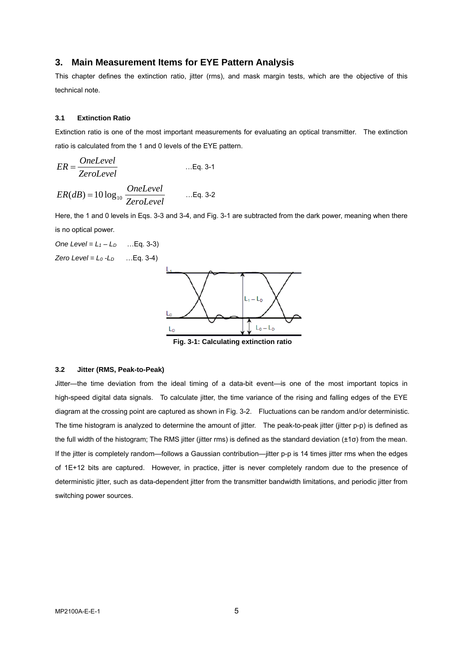### **3. Main Measurement Items for EYE Pattern Analysis**

This chapter defines the extinction ratio, jitter (rms), and mask margin tests, which are the objective of this technical note.

### **3.1 Extinction Ratio**

Extinction ratio is one of the most important measurements for evaluating an optical transmitter. The extinction ratio is calculated from the 1 and 0 levels of the EYE pattern.

$$
ER = \frac{OneLevel}{ZeroLevel}
$$
 ...Eq. 3-1

$$
ER(dB) = 10 \log_{10} \frac{OneLevel}{ZeroLevel} \qquad \dots \text{Eq. 3-2}
$$

Here, the 1 and 0 levels in Eqs. 3-3 and 3-4, and Fig. 3-1 are subtracted from the dark power, meaning when there is no optical power.

One Level = 
$$
L_1 - L_D
$$
 ...Eq. 3-3)  
Zero Level =  $L_0 - L_D$  ...Eq. 3-4)



**Fig. 3-1: Calculating extinction ratio** 

### **3.2 Jitter (RMS, Peak-to-Peak)**

Jitter—the time deviation from the ideal timing of a data-bit event—is one of the most important topics in high-speed digital data signals. To calculate jitter, the time variance of the rising and falling edges of the EYE diagram at the crossing point are captured as shown in Fig. 3-2. Fluctuations can be random and/or deterministic. The time histogram is analyzed to determine the amount of jitter. The peak-to-peak jitter (jitter p-p) is defined as the full width of the histogram; The RMS jitter (jitter rms) is defined as the standard deviation (±1σ) from the mean. If the jitter is completely random—follows a Gaussian contribution—jitter p-p is 14 times jitter rms when the edges of 1E+12 bits are captured. However, in practice, jitter is never completely random due to the presence of deterministic jitter, such as data-dependent jitter from the transmitter bandwidth limitations, and periodic jitter from switching power sources.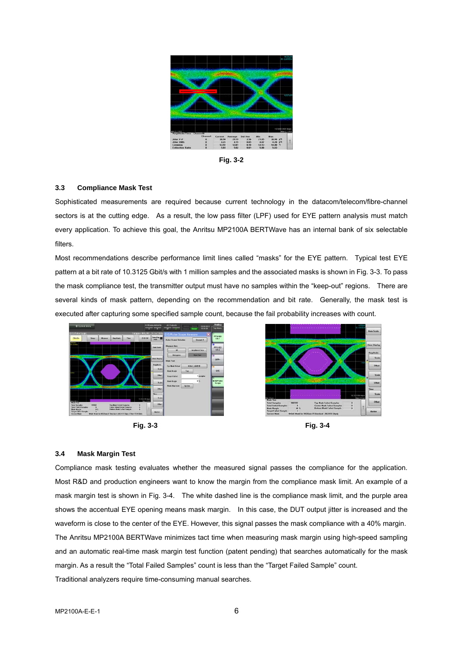

**Fig. 3-2** 

### **3.3 Compliance Mask Test**

Sophisticated measurements are required because current technology in the datacom/telecom/fibre-channel sectors is at the cutting edge. As a result, the low pass filter (LPF) used for EYE pattern analysis must match every application. To achieve this goal, the Anritsu MP2100A BERTWave has an internal bank of six selectable filters.

Most recommendations describe performance limit lines called "masks" for the EYE pattern. Typical test EYE pattern at a bit rate of 10.3125 Gbit/s with 1 million samples and the associated masks is shown in Fig. 3-3. To pass the mask compliance test, the transmitter output must have no samples within the "keep-out" regions. There are several kinds of mask pattern, depending on the recommendation and bit rate. Generally, the mask test is executed after capturing some specified sample count, because the fail probability increases with count.



**Fig. 3-3 Fig. 3-4** 



### **3.4 Mask Margin Test**

Compliance mask testing evaluates whether the measured signal passes the compliance for the application. Most R&D and production engineers want to know the margin from the compliance mask limit. An example of a mask margin test is shown in Fig. 3-4. The white dashed line is the compliance mask limit, and the purple area shows the accentual EYE opening means mask margin. In this case, the DUT output jitter is increased and the waveform is close to the center of the EYE. However, this signal passes the mask compliance with a 40% margin. The Anritsu MP2100A BERTWave minimizes tact time when measuring mask margin using high-speed sampling and an automatic real-time mask margin test function (patent pending) that searches automatically for the mask margin. As a result the "Total Failed Samples" count is less than the "Target Failed Sample" count. Traditional analyzers require time-consuming manual searches.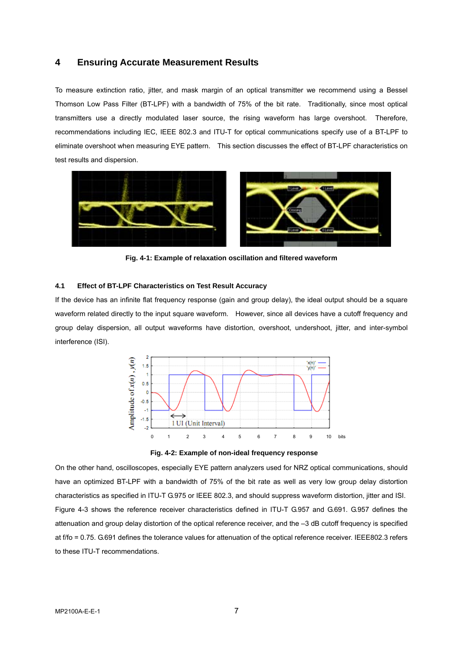### **4 Ensuring Accurate Measurement Results**

To measure extinction ratio, jitter, and mask margin of an optical transmitter we recommend using a Bessel Thomson Low Pass Filter (BT-LPF) with a bandwidth of 75% of the bit rate. Traditionally, since most optical transmitters use a directly modulated laser source, the rising waveform has large overshoot. Therefore, recommendations including IEC, IEEE 802.3 and ITU-T for optical communications specify use of a BT-LPF to eliminate overshoot when measuring EYE pattern. This section discusses the effect of BT-LPF characteristics on test results and dispersion.



**Fig. 4-1: Example of relaxation oscillation and filtered waveform** 

### **4.1 Effect of BT-LPF Characteristics on Test Result Accuracy**

If the device has an infinite flat frequency response (gain and group delay), the ideal output should be a square waveform related directly to the input square waveform. However, since all devices have a cutoff frequency and group delay dispersion, all output waveforms have distortion, overshoot, undershoot, jitter, and inter-symbol interference (ISI).



**Fig. 4-2: Example of non-ideal frequency response** 

On the other hand, oscilloscopes, especially EYE pattern analyzers used for NRZ optical communications, should have an optimized BT-LPF with a bandwidth of 75% of the bit rate as well as very low group delay distortion characteristics as specified in ITU-T G.975 or IEEE 802.3, and should suppress waveform distortion, jitter and ISI. Figure 4-3 shows the reference receiver characteristics defined in ITU-T G.957 and G.691. G.957 defines the attenuation and group delay distortion of the optical reference receiver, and the –3 dB cutoff frequency is specified at f/fo = 0.75. G.691 defines the tolerance values for attenuation of the optical reference receiver. IEEE802.3 refers to these ITU-T recommendations.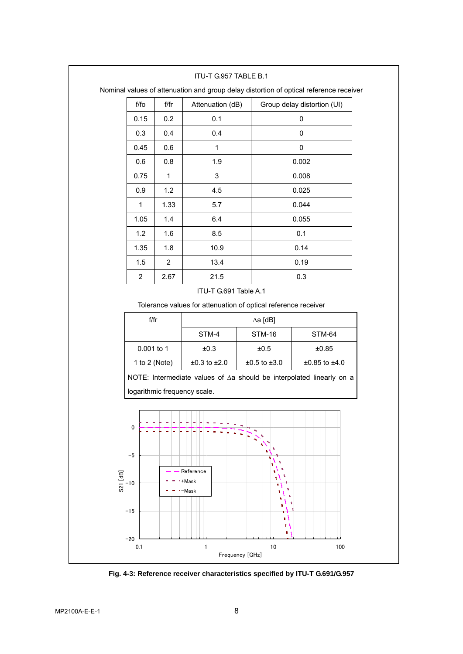|                                         |                | ITU-T G.957 TABLE B.1          |                                                                |                                                                                        |
|-----------------------------------------|----------------|--------------------------------|----------------------------------------------------------------|----------------------------------------------------------------------------------------|
|                                         |                |                                |                                                                | Nominal values of attenuation and group delay distortion of optical reference receiver |
| f/fo                                    | f/fr           | Attenuation (dB)               |                                                                | Group delay distortion (UI)                                                            |
| 0.15                                    | 0.2            | 0.1                            |                                                                | 0                                                                                      |
| 0.3                                     | 0.4            | 0.4                            |                                                                | 0                                                                                      |
| 0.45                                    | 0.6            | $\mathbf{1}$                   |                                                                | $\pmb{0}$                                                                              |
| 0.6                                     | 0.8            | 1.9                            |                                                                | 0.002                                                                                  |
| 0.75                                    | $\mathbf{1}$   | 3                              |                                                                | 0.008                                                                                  |
| 0.9                                     | 1.2            | 4.5                            |                                                                | 0.025                                                                                  |
| 1                                       | 1.33           | 5.7                            |                                                                | 0.044                                                                                  |
| 1.05                                    | 1.4            | 6.4                            |                                                                | 0.055                                                                                  |
| 1.2                                     | 1.6            | 8.5                            |                                                                | 0.1                                                                                    |
| 1.35                                    | 1.8            | 10.9                           |                                                                | 0.14                                                                                   |
| 1.5                                     | $\overline{2}$ | 13.4                           |                                                                | 0.19                                                                                   |
| $\overline{2}$                          | 2.67           | 21.5                           |                                                                | 0.3                                                                                    |
|                                         |                | ITU-T G.691 Table A.1          |                                                                |                                                                                        |
|                                         |                |                                | Tolerance values for attenuation of optical reference receiver |                                                                                        |
| f/fr                                    |                |                                | $\Delta a$ [dB]                                                |                                                                                        |
|                                         |                | STM-4                          | <b>STM-16</b>                                                  | <b>STM-64</b>                                                                          |
| 0.001 to 1                              |                | ±0.3                           | $\pm 0.5$                                                      | ±0.85                                                                                  |
| 1 to 2 (Note)                           |                | $±0.3$ to $±2.0$               | $±0.5$ to $±3.0$                                               | ±0.85 to ±4.0                                                                          |
|                                         |                |                                |                                                                | NOTE: Intermediate values of ∆a should be interpolated linearly on a                   |
|                                         |                | logarithmic frequency scale.   |                                                                |                                                                                        |
| 0<br>$-5$<br>$S21$ [dB]<br>-10<br>$-15$ |                | Reference<br>' +Mask<br>·-Mask | ۴.                                                             |                                                                                        |
| $-20$<br>0.1                            |                |                                | ٠<br>$10$                                                      | 100                                                                                    |
|                                         |                | $\mathbf{1}$                   | Frequency [GHz]                                                |                                                                                        |

## **Fig. 4-3: Reference receiver characteristics specified by ITU-T G.691/G.957**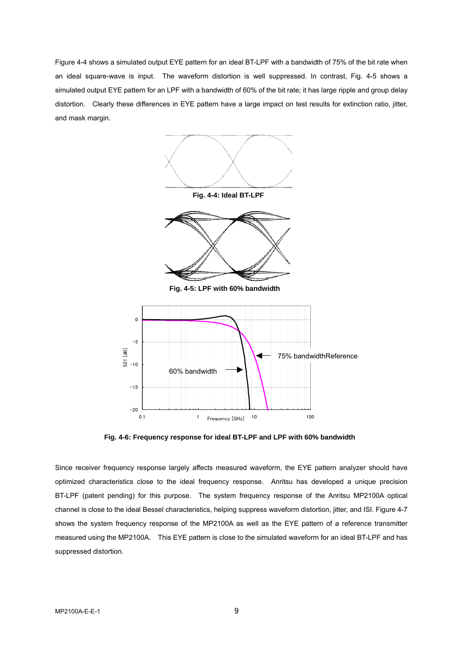Figure 4-4 shows a simulated output EYE pattern for an ideal BT-LPF with a bandwidth of 75% of the bit rate when an ideal square-wave is input. The waveform distortion is well suppressed. In contrast, Fig. 4-5 shows a simulated output EYE pattern for an LPF with a bandwidth of 60% of the bit rate; it has large ripple and group delay distortion. Clearly these differences in EYE pattern have a large impact on test results for extinction ratio, jitter, and mask margin.



**Fig. 4-6: Frequency response for ideal BT-LPF and LPF with 60% bandwidth** 

Since receiver frequency response largely affects measured waveform, the EYE pattern analyzer should have optimized characteristics close to the ideal frequency response. Anritsu has developed a unique precision BT-LPF (patent pending) for this purpose. The system frequency response of the Anritsu MP2100A optical channel is close to the ideal Bessel characteristics, helping suppress waveform distortion, jitter, and ISI. Figure 4-7 shows the system frequency response of the MP2100A as well as the EYE pattern of a reference transmitter measured using the MP2100A. This EYE pattern is close to the simulated waveform for an ideal BT-LPF and has suppressed distortion.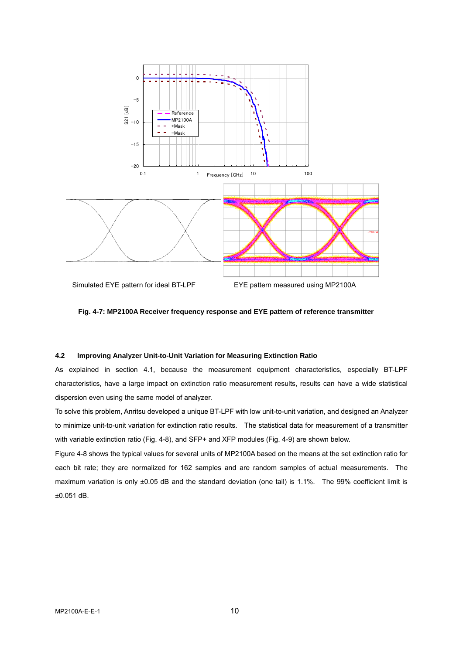



### **4.2 Improving Analyzer Unit-to-Unit Variation for Measuring Extinction Ratio**

As explained in section 4.1, because the measurement equipment characteristics, especially BT-LPF characteristics, have a large impact on extinction ratio measurement results, results can have a wide statistical dispersion even using the same model of analyzer.

To solve this problem, Anritsu developed a unique BT-LPF with low unit-to-unit variation, and designed an Analyzer to minimize unit-to-unit variation for extinction ratio results. The statistical data for measurement of a transmitter with variable extinction ratio (Fig. 4-8), and SFP+ and XFP modules (Fig. 4-9) are shown below.

Figure 4-8 shows the typical values for several units of MP2100A based on the means at the set extinction ratio for each bit rate; they are normalized for 162 samples and are random samples of actual measurements. The maximum variation is only ±0.05 dB and the standard deviation (one tail) is 1.1%. The 99% coefficient limit is ±0.051 dB.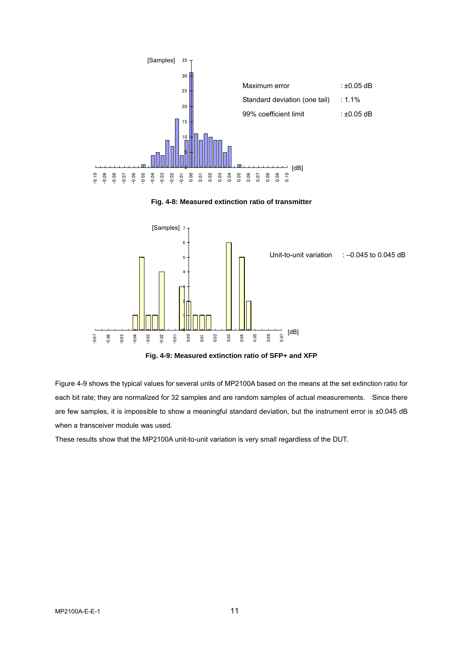

**Fig. 4-8: Measured extinction ratio of transmitter** 



**Fig. 4-9: Measured extinction ratio of SFP+ and XFP** 

Figure 4-9 shows the typical values for several units of MP2100A based on the means at the set extinction ratio for each bit rate; they are normalized for 32 samples and are random samples of actual measurements. Since there are few samples, it is impossible to show a meaningful standard deviation, but the instrument error is ±0.045 dB when a transceiver module was used.

These results show that the MP2100A unit-to-unit variation is very small regardless of the DUT.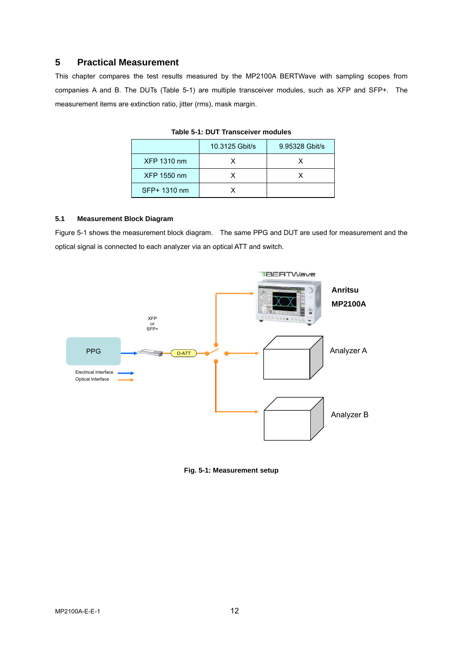### **5 Practical Measurement**

This chapter compares the test results measured by the MP2100A BERTWave with sampling scopes from companies A and B. The DUTs (Table 5-1) are multiple transceiver modules, such as XFP and SFP+. The measurement items are extinction ratio, jitter (rms), mask margin.

|                    | 10.3125 Gbit/s | 9.95328 Gbit/s |
|--------------------|----------------|----------------|
| XFP 1310 nm        |                | x              |
| <b>XFP 1550 nm</b> |                |                |
| SFP+ 1310 nm       |                |                |

**Table 5-1: DUT Transceiver modules** 

### **5.1 Measurement Block Diagram**

Figure 5-1 shows the measurement block diagram. The same PPG and DUT are used for measurement and the optical signal is connected to each analyzer via an optical ATT and switch.



**Fig. 5-1: Measurement setup**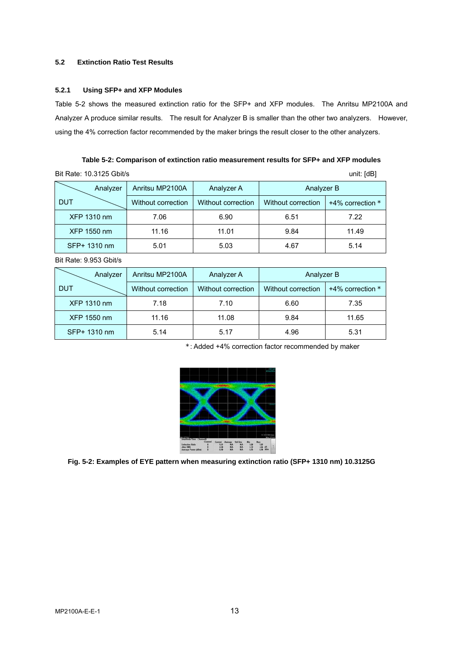### **5.2 Extinction Ratio Test Results**

### **5.2.1 Using SFP+ and XFP Modules**

Table 5-2 shows the measured extinction ratio for the SFP+ and XFP modules. The Anritsu MP2100A and Analyzer A produce similar results. The result for Analyzer B is smaller than the other two analyzers. However, using the 4% correction factor recommended by the maker brings the result closer to the other analyzers.

**Table 5-2: Comparison of extinction ratio measurement results for SFP+ and XFP modules** 

| Bit Rate: 10.3125 Gbit/s<br>unit: [dB] |                    |                    |                    |                    |
|----------------------------------------|--------------------|--------------------|--------------------|--------------------|
| Analyzer                               | Anritsu MP2100A    | Analyzer A         | Analyzer B         |                    |
| <b>DUT</b>                             | Without correction | Without correction | Without correction | +4% correction $*$ |
| XFP 1310 nm                            | 7.06               | 6.90               | 6.51               | 7.22               |
| XFP 1550 nm                            | 11.16              | 11.01              | 9.84               | 11.49              |
| SFP+ 1310 nm                           | 5.01               | 5.03               | 4.67               | 5.14               |

Bit Rate: 9.953 Gbit/s

| Analyzer     | Anritsu MP2100A    | Analyzer A         | Analyzer B         |                    |
|--------------|--------------------|--------------------|--------------------|--------------------|
| <b>DUT</b>   | Without correction | Without correction | Without correction | +4% correction $*$ |
| XFP 1310 nm  | 7.18               | 7.10               | 6.60               | 7.35               |
| XFP 1550 nm  | 11.16              | 11.08              | 9.84               | 11.65              |
| SFP+ 1310 nm | 5.14               | 5.17               | 4.96               | 5.31               |

\*: Added +4% correction factor recommended by maker



**Fig. 5-2: Examples of EYE pattern when measuring extinction ratio (SFP+ 1310 nm) 10.3125G**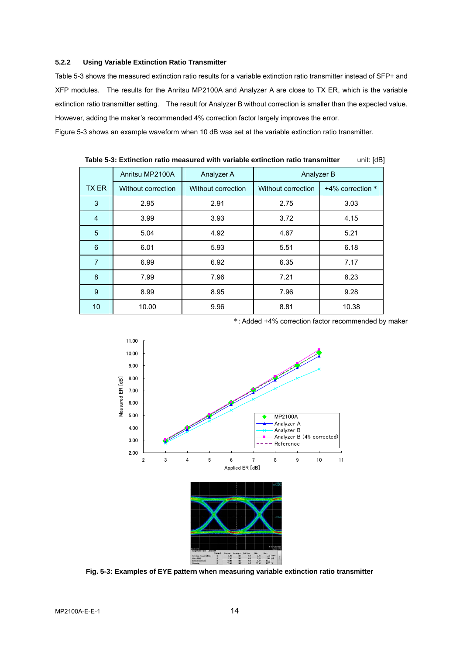### **5.2.2 Using Variable Extinction Ratio Transmitter**

Table 5-3 shows the measured extinction ratio results for a variable extinction ratio transmitter instead of SFP+ and XFP modules. The results for the Anritsu MP2100A and Analyzer A are close to TX ER, which is the variable extinction ratio transmitter setting. The result for Analyzer B without correction is smaller than the expected value. However, adding the maker's recommended 4% correction factor largely improves the error.

Figure 5-3 shows an example waveform when 10 dB was set at the variable extinction ratio transmitter.

|                | Anritsu MP2100A    | Analyzer A         | Analyzer B         |                  |
|----------------|--------------------|--------------------|--------------------|------------------|
| <b>TX ER</b>   | Without correction | Without correction | Without correction | +4% correction * |
| 3              | 2.95               | 2.91               | 2.75               | 3.03             |
| $\overline{4}$ | 3.99               | 3.93               | 3.72               | 4.15             |
| 5              | 5.04               | 4.92               | 4.67               | 5.21             |
| 6              | 6.01               | 5.93               | 5.51               | 6.18             |
| $\overline{7}$ | 6.99               | 6.92               | 6.35               | 7.17             |
| 8              | 7.99               | 7.96               | 7.21               | 8.23             |
| 9              | 8.99               | 8.95               | 7.96               | 9.28             |
| 10             | 10.00              | 9.96               | 8.81               | 10.38            |

**Table 5-3: Extinction ratio measured with variable extinction ratio transmitter** unit: [dB]

\*: Added +4% correction factor recommended by maker



**Fig. 5-3: Examples of EYE pattern when measuring variable extinction ratio transmitter**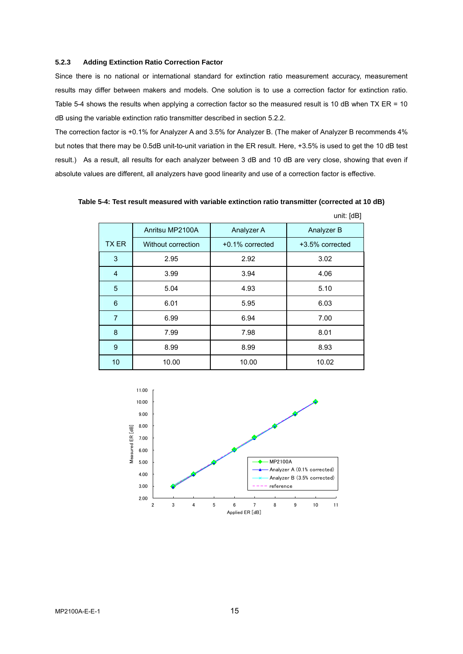### **5.2.3 Adding Extinction Ratio Correction Factor**

Since there is no national or international standard for extinction ratio measurement accuracy, measurement results may differ between makers and models. One solution is to use a correction factor for extinction ratio. Table 5-4 shows the results when applying a correction factor so the measured result is 10 dB when TX ER = 10 dB using the variable extinction ratio transmitter described in section 5.2.2.

The correction factor is +0.1% for Analyzer A and 3.5% for Analyzer B. (The maker of Analyzer B recommends 4% but notes that there may be 0.5dB unit-to-unit variation in the ER result. Here, +3.5% is used to get the 10 dB test result.) As a result, all results for each analyzer between 3 dB and 10 dB are very close, showing that even if absolute values are different, all analyzers have good linearity and use of a correction factor is effective.

**Table 5-4: Test result measured with variable extinction ratio transmitter (corrected at 10 dB)** 

|                |                    |                 | u.  1901        |
|----------------|--------------------|-----------------|-----------------|
|                | Anritsu MP2100A    | Analyzer A      | Analyzer B      |
| <b>TX ER</b>   | Without correction | +0.1% corrected | +3.5% corrected |
| 3              | 2.95               | 2.92            | 3.02            |
| $\overline{4}$ | 3.99               | 3.94            | 4.06            |
| 5              | 5.04               | 4.93            | 5.10            |
| 6              | 6.01               | 5.95            | 6.03            |
| $\overline{7}$ | 6.99               | 6.94            | 7.00            |
| 8              | 7.99               | 7.98            | 8.01            |
| 9              | 8.99               | 8.99            | 8.93            |
| 10             | 10.00              | 10.00           | 10.02           |



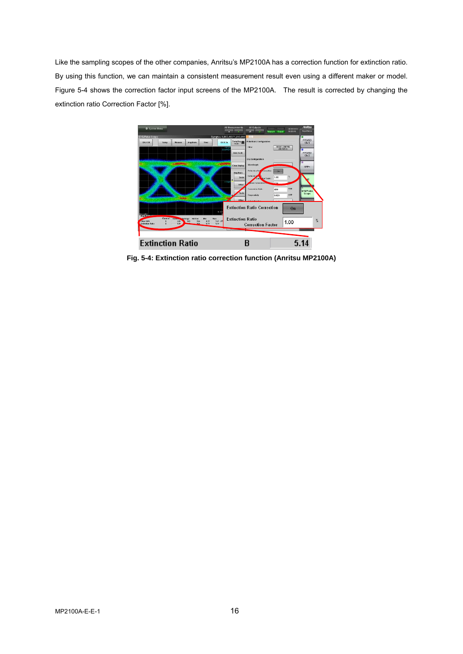Like the sampling scopes of the other companies, Anritsu's MP2100A has a correction function for extinction ratio. By using this function, we can maintain a consistent measurement result even using a different maker or model. Figure 5-4 shows the correction factor input screens of the MP2100A. The result is corrected by changing the extinction ratio Correction Factor [%].



**Fig. 5-4: Extinction ratio correction function (Anritsu MP2100A)**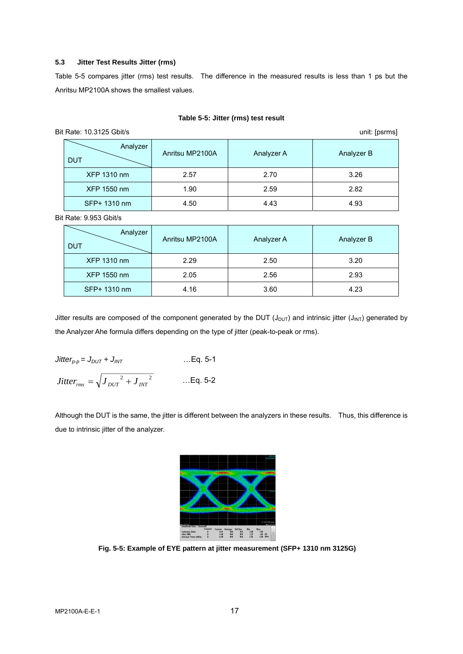### **5.3 Jitter Test Results Jitter (rms)**

Table 5-5 compares jitter (rms) test results. The difference in the measured results is less than 1 ps but the Anritsu MP2100A shows the smallest values.

### **Table 5-5: Jitter (rms) test result**

Bit Rate: 10.3125 Gbit/s unit: [psrms]

| Analyzer<br>DUT | Anritsu MP2100A | Analyzer A | Analyzer B |
|-----------------|-----------------|------------|------------|
| XFP 1310 nm     | 2.57            | 2.70       | 3.26       |
| XFP 1550 nm     | 1.90            | 2.59       | 2.82       |
| SFP+ 1310 nm    | 4.50            | 4.43       | 4.93       |

Bit Rate: 9.953 Gbit/s

| Analyzer<br><b>DUT</b> | Anritsu MP2100A | Analyzer A | Analyzer B |
|------------------------|-----------------|------------|------------|
| XFP 1310 nm            | 2.29            | 2.50       | 3.20       |
| XFP 1550 nm            | 2.05            | 2.56       | 2.93       |
| SFP+ 1310 nm           | 4.16            | 3.60       | 4.23       |

Jitter results are composed of the component generated by the DUT (J<sub>DUT</sub>) and intrinsic jitter (J<sub>INT</sub>) generated by the Analyzer Ahe formula differs depending on the type of jitter (peak-to-peak or rms).

*Jitter<sub>p-p</sub>* = 
$$
J_{DUT} + J_{INT}
$$
 ...Eq. 5-1  
*Jitter<sub>rms</sub>* =  $\sqrt{J_{DUT}^2 + J_{INT}^2}$  ...Eq. 5-2

Although the DUT is the same, the jitter is different between the analyzers in these results. Thus, this difference is due to intrinsic jitter of the analyzer.



**Fig. 5-5: Example of EYE pattern at jitter measurement (SFP+ 1310 nm 3125G)**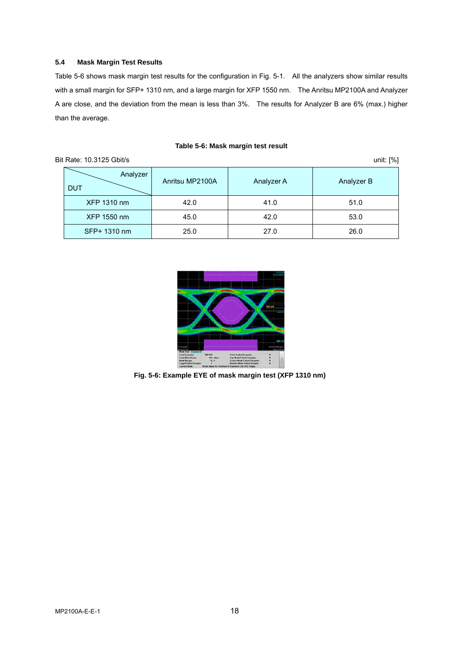### **5.4 Mask Margin Test Results**

Table 5-6 shows mask margin test results for the configuration in Fig. 5-1. All the analyzers show similar results with a small margin for SFP+ 1310 nm, and a large margin for XFP 1550 nm. The Anritsu MP2100A and Analyzer A are close, and the deviation from the mean is less than 3%. The results for Analyzer B are 6% (max.) higher than the average.

### **Table 5-6: Mask margin test result**

| Bit Rate: 10.3125 Gbit/s<br>unit: [%] |                 |            |            |  |  |
|---------------------------------------|-----------------|------------|------------|--|--|
| Analyzer<br><b>DUT</b>                | Anritsu MP2100A | Analyzer A | Analyzer B |  |  |
| <b>XFP 1310 nm</b>                    | 42.0            | 41.0       | 51.0       |  |  |
| XFP 1550 nm                           | 45.0            | 42.0       | 53.0       |  |  |
| SFP+ 1310 nm                          | 25.0            | 27.0       | 26.0       |  |  |



**Fig. 5-6: Example EYE of mask margin test (XFP 1310 nm)**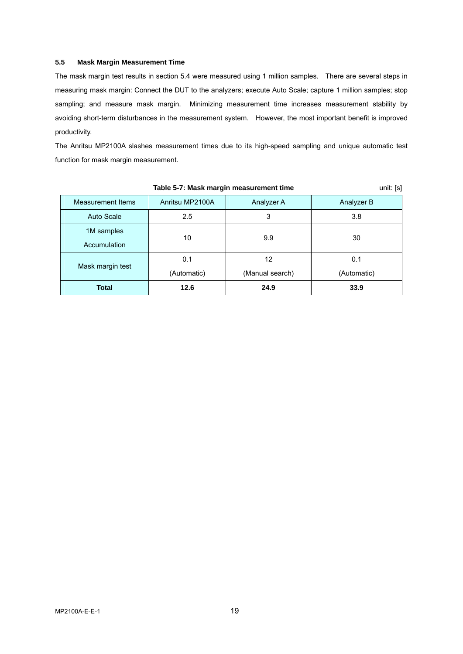### **5.5 Mask Margin Measurement Time**

The mask margin test results in section 5.4 were measured using 1 million samples. There are several steps in measuring mask margin: Connect the DUT to the analyzers; execute Auto Scale; capture 1 million samples; stop sampling; and measure mask margin. Minimizing measurement time increases measurement stability by avoiding short-term disturbances in the measurement system. However, the most important benefit is improved productivity.

The Anritsu MP2100A slashes measurement times due to its high-speed sampling and unique automatic test function for mask margin measurement.

| Table 5-7: Mask margin measurement time<br>unit: [s] |                 |                 |             |  |
|------------------------------------------------------|-----------------|-----------------|-------------|--|
| <b>Measurement Items</b>                             | Anritsu MP2100A | Analyzer A      | Analyzer B  |  |
| Auto Scale                                           | 2.5             | 3               | 3.8         |  |
| 1M samples                                           | 10              | 9.9             | 30          |  |
| Accumulation                                         |                 |                 |             |  |
| Mask margin test                                     | 0.1             | 12              | 0.1         |  |
|                                                      | (Automatic)     | (Manual search) | (Automatic) |  |
| Total                                                | 12.6            | 24.9            | 33.9        |  |

### MP2100A-E-E-1 19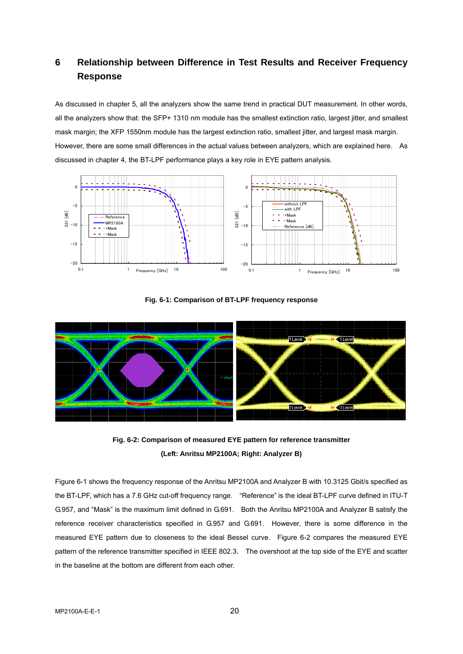# **6 Relationship between Difference in Test Results and Receiver Frequency Response**

As discussed in chapter 5, all the analyzers show the same trend in practical DUT measurement. In other words, all the analyzers show that: the SFP+ 1310 nm module has the smallest extinction ratio, largest jitter, and smallest mask margin; the XFP 1550nm module has the largest extinction ratio, smallest jitter, and largest mask margin. However, there are some small differences in the actual values between analyzers, which are explained here. As discussed in chapter 4, the BT-LPF performance plays a key role in EYE pattern analysis.



**Fig. 6-1: Comparison of BT-LPF frequency response** 



**Fig. 6-2: Comparison of measured EYE pattern for reference transmitter (Left: Anritsu MP2100A; Right: Analyzer B)** 

Figure 6-1 shows the frequency response of the Anritsu MP2100A and Analyzer B with 10.3125 Gbit/s specified as the BT-LPF, which has a 7.6 GHz cut-off frequency range. "Reference" is the ideal BT-LPF curve defined in ITU-T G.957, and "Mask" is the maximum limit defined in G.691. Both the Anritsu MP2100A and Analyzer B satisfy the reference receiver characteristics specified in G.957 and G.691. However, there is some difference in the measured EYE pattern due to closeness to the ideal Bessel curve. Figure 6-2 compares the measured EYE pattern of the reference transmitter specified in IEEE 802.3. The overshoot at the top side of the EYE and scatter in the baseline at the bottom are different from each other.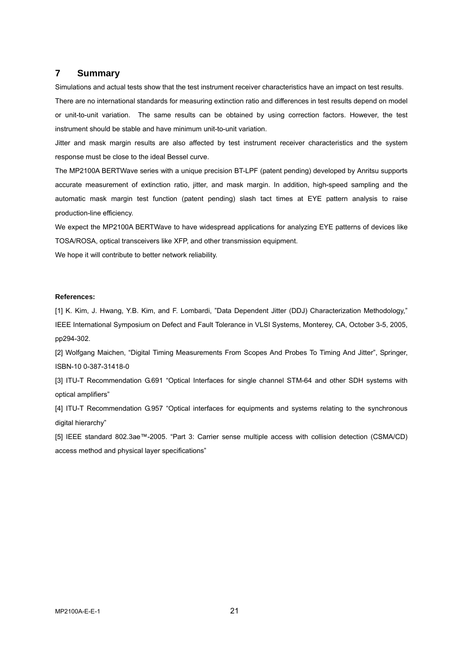### **7 Summary**

Simulations and actual tests show that the test instrument receiver characteristics have an impact on test results.

There are no international standards for measuring extinction ratio and differences in test results depend on model or unit-to-unit variation. The same results can be obtained by using correction factors. However, the test instrument should be stable and have minimum unit-to-unit variation.

Jitter and mask margin results are also affected by test instrument receiver characteristics and the system response must be close to the ideal Bessel curve.

The MP2100A BERTWave series with a unique precision BT-LPF (patent pending) developed by Anritsu supports accurate measurement of extinction ratio, jitter, and mask margin. In addition, high-speed sampling and the automatic mask margin test function (patent pending) slash tact times at EYE pattern analysis to raise production-line efficiency.

We expect the MP2100A BERTWave to have widespread applications for analyzing EYE patterns of devices like TOSA/ROSA, optical transceivers like XFP, and other transmission equipment.

We hope it will contribute to better network reliability.

### **References:**

[1] K. Kim, J. Hwang, Y.B. Kim, and F. Lombardi, "Data Dependent Jitter (DDJ) Characterization Methodology," IEEE International Symposium on Defect and Fault Tolerance in VLSI Systems, Monterey, CA, October 3-5, 2005, pp294-302.

[2] Wolfgang Maichen, "Digital Timing Measurements From Scopes And Probes To Timing And Jitter", Springer, ISBN-10 0-387-31418-0

[3] ITU-T Recommendation G.691 "Optical Interfaces for single channel STM-64 and other SDH systems with optical amplifiers"

[4] ITU-T Recommendation G.957 "Optical interfaces for equipments and systems relating to the synchronous digital hierarchy"

[5] IEEE standard 802.3ae™-2005. "Part 3: Carrier sense multiple access with collision detection (CSMA/CD) access method and physical layer specifications"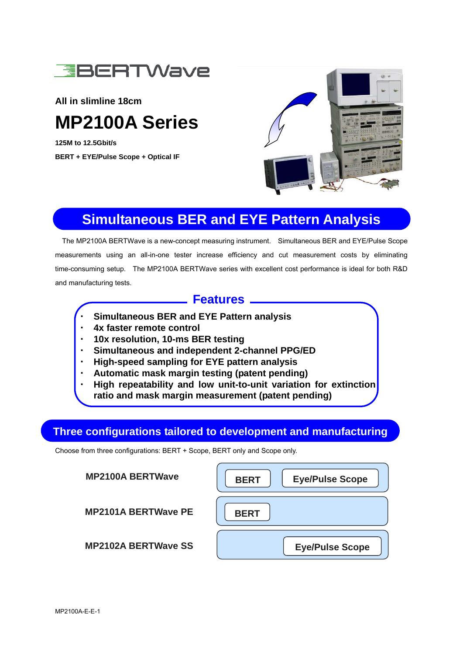

# **All in slimline 18cm MP2100A Series**

**125M to 12.5Gbit/s BERT + EYE/Pulse Scope + Optical IF** 



# **Simultaneous BER and EYE Pattern Analysis**

The MP2100A BERTWave is a new-concept measuring instrument. Simultaneous BER and EYE/Pulse Scope measurements using an all-in-one tester increase efficiency and cut measurement costs by eliminating time-consuming setup. The MP2100A BERTWave series with excellent cost performance is ideal for both R&D and manufacturing tests.

# **Features**

- ・ **Simultaneous BER and EYE Pattern analysis**
- ・ **4x faster remote control**
- ・ **10x resolution, 10-ms BER testing**
- **Simultaneous and independent 2-channel PPG/ED**
- **High-speed sampling for EYE pattern analysis**
- Automatic mask margin testing (patent pending)
- ・ **High repeatability and low unit-to-unit variation for extinction ratio and mask margin measurement (patent pending)**

# **Three configurations tailored to development and manufacturing**

Choose from three configurations: BERT + Scope, BERT only and Scope only.

| <b>MP2100A BERTWave</b>    | <b>Eye/Pulse Scope</b><br><b>BERT</b> |
|----------------------------|---------------------------------------|
| <b>MP2101A BERTWave PE</b> | <b>BERT</b>                           |
| <b>MP2102A BERTWave SS</b> | <b>Eye/Pulse Scope</b>                |